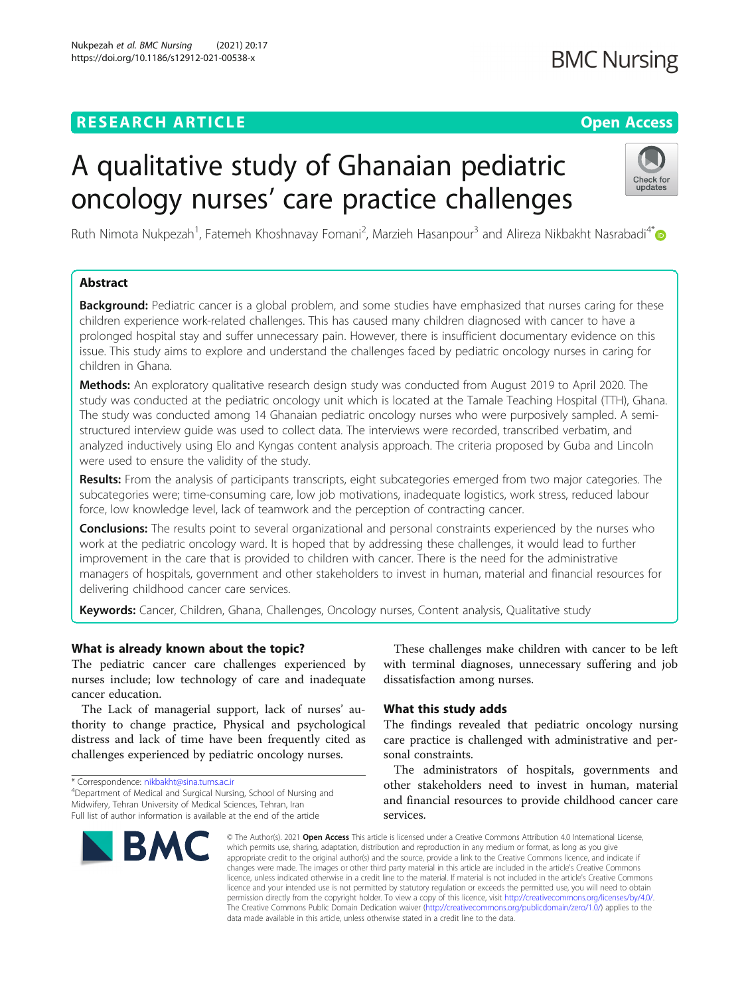# **RESEARCH ARTICLE Example 2014 12:30 The Contract of Contract ACCESS**

# A qualitative study of Ghanaian pediatric oncology nurses' care practice challenges

Ruth Nimota Nukpezah<sup>1</sup>, Fatemeh Khoshnavay Fomani<sup>2</sup>, Marzieh Hasanpour<sup>3</sup> and Alireza Nikbakht Nasrabadi<sup>4[\\*](http://orcid.org/0000-0002-3970-4158)</sup>

# Abstract

**Background:** Pediatric cancer is a global problem, and some studies have emphasized that nurses caring for these children experience work-related challenges. This has caused many children diagnosed with cancer to have a prolonged hospital stay and suffer unnecessary pain. However, there is insufficient documentary evidence on this issue. This study aims to explore and understand the challenges faced by pediatric oncology nurses in caring for children in Ghana.

Methods: An exploratory qualitative research design study was conducted from August 2019 to April 2020. The study was conducted at the pediatric oncology unit which is located at the Tamale Teaching Hospital (TTH), Ghana. The study was conducted among 14 Ghanaian pediatric oncology nurses who were purposively sampled. A semistructured interview guide was used to collect data. The interviews were recorded, transcribed verbatim, and analyzed inductively using Elo and Kyngas content analysis approach. The criteria proposed by Guba and Lincoln were used to ensure the validity of the study.

Results: From the analysis of participants transcripts, eight subcategories emerged from two major categories. The subcategories were; time-consuming care, low job motivations, inadequate logistics, work stress, reduced labour force, low knowledge level, lack of teamwork and the perception of contracting cancer.

Conclusions: The results point to several organizational and personal constraints experienced by the nurses who work at the pediatric oncology ward. It is hoped that by addressing these challenges, it would lead to further improvement in the care that is provided to children with cancer. There is the need for the administrative managers of hospitals, government and other stakeholders to invest in human, material and financial resources for delivering childhood cancer care services.

Keywords: Cancer, Children, Ghana, Challenges, Oncology nurses, Content analysis, Qualitative study

# What is already known about the topic?

The pediatric cancer care challenges experienced by nurses include; low technology of care and inadequate cancer education.

The Lack of managerial support, lack of nurses' authority to change practice, Physical and psychological distress and lack of time have been frequently cited as challenges experienced by pediatric oncology nurses.

\* Correspondence: [nikbakht@sina.tums.ac.ir](mailto:nikbakht@sina.tums.ac.ir) <sup>4</sup>

Department of Medical and Surgical Nursing, School of Nursing and Midwifery, Tehran University of Medical Sciences, Tehran, Iran Full list of author information is available at the end of the article

BMC

These challenges make children with cancer to be left with terminal diagnoses, unnecessary suffering and job dissatisfaction among nurses.

# What this study adds

The findings revealed that pediatric oncology nursing care practice is challenged with administrative and personal constraints.

The administrators of hospitals, governments and other stakeholders need to invest in human, material and financial resources to provide childhood cancer care services.

© The Author(s), 2021 **Open Access** This article is licensed under a Creative Commons Attribution 4.0 International License, which permits use, sharing, adaptation, distribution and reproduction in any medium or format, as long as you give appropriate credit to the original author(s) and the source, provide a link to the Creative Commons licence, and indicate if changes were made. The images or other third party material in this article are included in the article's Creative Commons licence, unless indicated otherwise in a credit line to the material. If material is not included in the article's Creative Commons licence and your intended use is not permitted by statutory regulation or exceeds the permitted use, you will need to obtain permission directly from the copyright holder. To view a copy of this licence, visit [http://creativecommons.org/licenses/by/4.0/.](http://creativecommons.org/licenses/by/4.0/) The Creative Commons Public Domain Dedication waiver [\(http://creativecommons.org/publicdomain/zero/1.0/](http://creativecommons.org/publicdomain/zero/1.0/)) applies to the data made available in this article, unless otherwise stated in a credit line to the data.



# **BMC Nursing**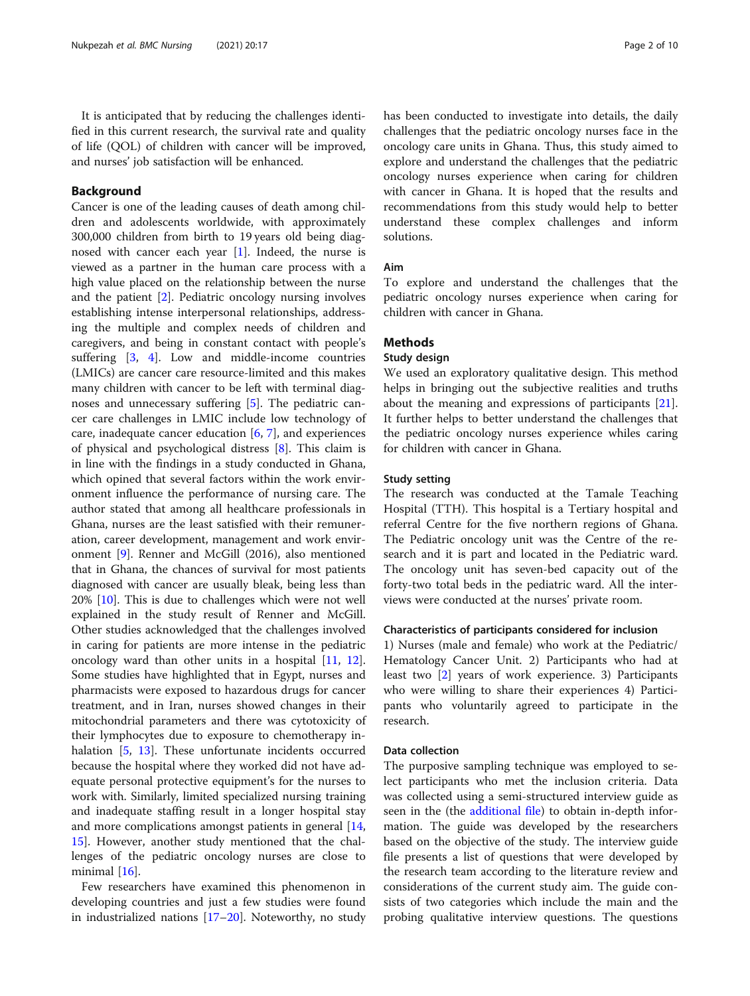It is anticipated that by reducing the challenges identified in this current research, the survival rate and quality of life (QOL) of children with cancer will be improved, and nurses' job satisfaction will be enhanced.

# **Background**

Cancer is one of the leading causes of death among children and adolescents worldwide, with approximately 300,000 children from birth to 19 years old being diagnosed with cancer each year [[1](#page-8-0)]. Indeed, the nurse is viewed as a partner in the human care process with a high value placed on the relationship between the nurse and the patient [[2\]](#page-8-0). Pediatric oncology nursing involves establishing intense interpersonal relationships, addressing the multiple and complex needs of children and caregivers, and being in constant contact with people's suffering [\[3](#page-8-0), [4\]](#page-8-0). Low and middle-income countries (LMICs) are cancer care resource-limited and this makes many children with cancer to be left with terminal diagnoses and unnecessary suffering [[5](#page-8-0)]. The pediatric cancer care challenges in LMIC include low technology of care, inadequate cancer education  $[6, 7]$  $[6, 7]$  $[6, 7]$  $[6, 7]$ , and experiences of physical and psychological distress [\[8](#page-8-0)]. This claim is in line with the findings in a study conducted in Ghana, which opined that several factors within the work environment influence the performance of nursing care. The author stated that among all healthcare professionals in Ghana, nurses are the least satisfied with their remuneration, career development, management and work environment [[9](#page-8-0)]. Renner and McGill (2016), also mentioned that in Ghana, the chances of survival for most patients diagnosed with cancer are usually bleak, being less than 20% [\[10\]](#page-8-0). This is due to challenges which were not well explained in the study result of Renner and McGill. Other studies acknowledged that the challenges involved in caring for patients are more intense in the pediatric oncology ward than other units in a hospital [[11,](#page-8-0) [12](#page-8-0)]. Some studies have highlighted that in Egypt, nurses and pharmacists were exposed to hazardous drugs for cancer treatment, and in Iran, nurses showed changes in their mitochondrial parameters and there was cytotoxicity of their lymphocytes due to exposure to chemotherapy in-halation [[5,](#page-8-0) [13\]](#page-8-0). These unfortunate incidents occurred because the hospital where they worked did not have adequate personal protective equipment's for the nurses to work with. Similarly, limited specialized nursing training and inadequate staffing result in a longer hospital stay and more complications amongst patients in general [[14](#page-8-0), [15\]](#page-8-0). However, another study mentioned that the challenges of the pediatric oncology nurses are close to minimal [[16](#page-8-0)].

Few researchers have examined this phenomenon in developing countries and just a few studies were found in industrialized nations  $[17–20]$  $[17–20]$  $[17–20]$  $[17–20]$  $[17–20]$ . Noteworthy, no study has been conducted to investigate into details, the daily challenges that the pediatric oncology nurses face in the oncology care units in Ghana. Thus, this study aimed to explore and understand the challenges that the pediatric oncology nurses experience when caring for children with cancer in Ghana. It is hoped that the results and recommendations from this study would help to better understand these complex challenges and inform solutions.

# Aim

To explore and understand the challenges that the pediatric oncology nurses experience when caring for children with cancer in Ghana.

# **Methods**

# Study design

We used an exploratory qualitative design. This method helps in bringing out the subjective realities and truths about the meaning and expressions of participants [\[21](#page-8-0)]. It further helps to better understand the challenges that the pediatric oncology nurses experience whiles caring for children with cancer in Ghana.

# Study setting

The research was conducted at the Tamale Teaching Hospital (TTH). This hospital is a Tertiary hospital and referral Centre for the five northern regions of Ghana. The Pediatric oncology unit was the Centre of the research and it is part and located in the Pediatric ward. The oncology unit has seven-bed capacity out of the forty-two total beds in the pediatric ward. All the interviews were conducted at the nurses' private room.

# Characteristics of participants considered for inclusion

1) Nurses (male and female) who work at the Pediatric/ Hematology Cancer Unit. 2) Participants who had at least two [[2\]](#page-8-0) years of work experience. 3) Participants who were willing to share their experiences 4) Participants who voluntarily agreed to participate in the research.

# Data collection

The purposive sampling technique was employed to select participants who met the inclusion criteria. Data was collected using a semi-structured interview guide as seen in the (the [additional file\)](#page-7-0) to obtain in-depth information. The guide was developed by the researchers based on the objective of the study. The interview guide file presents a list of questions that were developed by the research team according to the literature review and considerations of the current study aim. The guide consists of two categories which include the main and the probing qualitative interview questions. The questions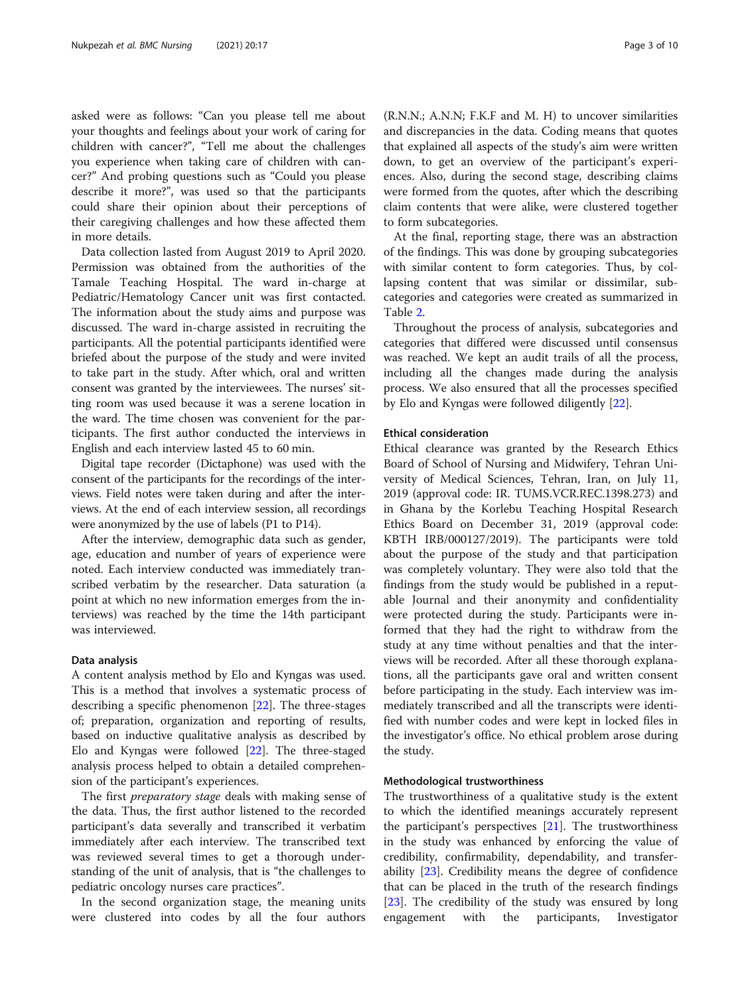asked were as follows: "Can you please tell me about your thoughts and feelings about your work of caring for children with cancer?", "Tell me about the challenges you experience when taking care of children with cancer?" And probing questions such as "Could you please describe it more?", was used so that the participants could share their opinion about their perceptions of their caregiving challenges and how these affected them in more details.

Data collection lasted from August 2019 to April 2020. Permission was obtained from the authorities of the Tamale Teaching Hospital. The ward in-charge at Pediatric/Hematology Cancer unit was first contacted. The information about the study aims and purpose was discussed. The ward in-charge assisted in recruiting the participants. All the potential participants identified were briefed about the purpose of the study and were invited to take part in the study. After which, oral and written consent was granted by the interviewees. The nurses' sitting room was used because it was a serene location in the ward. The time chosen was convenient for the participants. The first author conducted the interviews in English and each interview lasted 45 to 60 min.

Digital tape recorder (Dictaphone) was used with the consent of the participants for the recordings of the interviews. Field notes were taken during and after the interviews. At the end of each interview session, all recordings were anonymized by the use of labels (P1 to P14).

After the interview, demographic data such as gender, age, education and number of years of experience were noted. Each interview conducted was immediately transcribed verbatim by the researcher. Data saturation (a point at which no new information emerges from the interviews) was reached by the time the 14th participant was interviewed.

# Data analysis

A content analysis method by Elo and Kyngas was used. This is a method that involves a systematic process of describing a specific phenomenon [[22\]](#page-8-0). The three-stages of; preparation, organization and reporting of results, based on inductive qualitative analysis as described by Elo and Kyngas were followed [\[22](#page-8-0)]. The three-staged analysis process helped to obtain a detailed comprehension of the participant's experiences.

The first *preparatory stage* deals with making sense of the data. Thus, the first author listened to the recorded participant's data severally and transcribed it verbatim immediately after each interview. The transcribed text was reviewed several times to get a thorough understanding of the unit of analysis, that is "the challenges to pediatric oncology nurses care practices".

In the second organization stage, the meaning units were clustered into codes by all the four authors

(R.N.N.; A.N.N; F.K.F and M. H) to uncover similarities and discrepancies in the data. Coding means that quotes that explained all aspects of the study's aim were written down, to get an overview of the participant's experiences. Also, during the second stage, describing claims were formed from the quotes, after which the describing claim contents that were alike, were clustered together to form subcategories.

At the final, reporting stage, there was an abstraction of the findings. This was done by grouping subcategories with similar content to form categories. Thus, by collapsing content that was similar or dissimilar, subcategories and categories were created as summarized in Table [2.](#page-4-0)

Throughout the process of analysis, subcategories and categories that differed were discussed until consensus was reached. We kept an audit trails of all the process, including all the changes made during the analysis process. We also ensured that all the processes specified by Elo and Kyngas were followed diligently [[22\]](#page-8-0).

# Ethical consideration

Ethical clearance was granted by the Research Ethics Board of School of Nursing and Midwifery, Tehran University of Medical Sciences, Tehran, Iran, on July 11, 2019 (approval code: IR. TUMS.VCR.REC.1398.273) and in Ghana by the Korlebu Teaching Hospital Research Ethics Board on December 31, 2019 (approval code: KBTH IRB/000127/2019). The participants were told about the purpose of the study and that participation was completely voluntary. They were also told that the findings from the study would be published in a reputable Journal and their anonymity and confidentiality were protected during the study. Participants were informed that they had the right to withdraw from the study at any time without penalties and that the interviews will be recorded. After all these thorough explanations, all the participants gave oral and written consent before participating in the study. Each interview was immediately transcribed and all the transcripts were identified with number codes and were kept in locked files in the investigator's office. No ethical problem arose during the study.

# Methodological trustworthiness

The trustworthiness of a qualitative study is the extent to which the identified meanings accurately represent the participant's perspectives [\[21](#page-8-0)]. The trustworthiness in the study was enhanced by enforcing the value of credibility, confirmability, dependability, and transferability [[23\]](#page-8-0). Credibility means the degree of confidence that can be placed in the truth of the research findings [[23\]](#page-8-0). The credibility of the study was ensured by long engagement with the participants, Investigator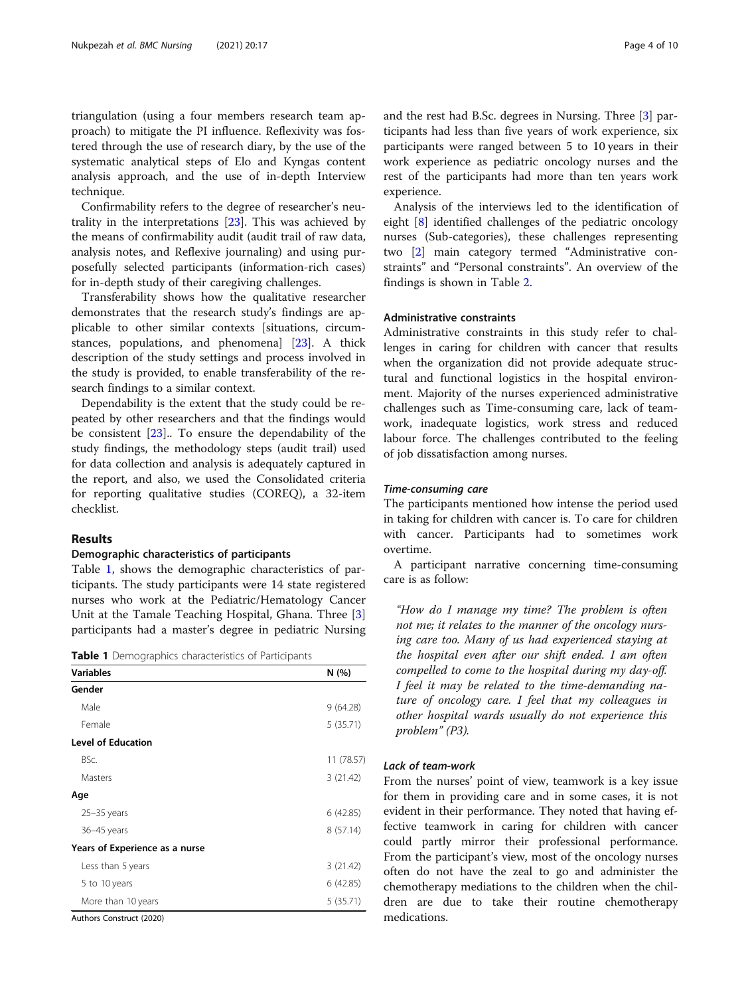triangulation (using a four members research team approach) to mitigate the PI influence. Reflexivity was fostered through the use of research diary, by the use of the systematic analytical steps of Elo and Kyngas content analysis approach, and the use of in-depth Interview technique.

Confirmability refers to the degree of researcher's neutrality in the interpretations [\[23\]](#page-8-0). This was achieved by the means of confirmability audit (audit trail of raw data, analysis notes, and Reflexive journaling) and using purposefully selected participants (information-rich cases) for in-depth study of their caregiving challenges.

Transferability shows how the qualitative researcher demonstrates that the research study's findings are applicable to other similar contexts [situations, circumstances, populations, and phenomena] [[23](#page-8-0)]. A thick description of the study settings and process involved in the study is provided, to enable transferability of the research findings to a similar context.

Dependability is the extent that the study could be repeated by other researchers and that the findings would be consistent [[23](#page-8-0)].. To ensure the dependability of the study findings, the methodology steps (audit trail) used for data collection and analysis is adequately captured in the report, and also, we used the Consolidated criteria for reporting qualitative studies (COREQ), a 32-item checklist.

# Results

## Demographic characteristics of participants

Table 1, shows the demographic characteristics of participants. The study participants were 14 state registered nurses who work at the Pediatric/Hematology Cancer Unit at the Tamale Teaching Hospital, Ghana. Three [\[3](#page-8-0)] participants had a master's degree in pediatric Nursing

Table 1 Demographics characteristics of Participants

| <b>Variables</b>               | N (%)      |
|--------------------------------|------------|
| Gender                         |            |
| Male                           | 9(64.28)   |
| Female                         | 5(35.71)   |
| <b>Level of Education</b>      |            |
| BSc.                           | 11 (78.57) |
| Masters                        | 3(21.42)   |
| Age                            |            |
| $25 - 35$ years                | 6(42.85)   |
| 36-45 years                    | 8(57.14)   |
| Years of Experience as a nurse |            |
| Less than 5 years              | 3(21.42)   |
| 5 to 10 years                  | 6 (42.85)  |
| More than 10 years             | 5(35.71)   |
| Authors Construct (2020)       |            |

Authors Construct (2020)

and the rest had B.Sc. degrees in Nursing. Three [[3\]](#page-8-0) participants had less than five years of work experience, six participants were ranged between 5 to 10 years in their work experience as pediatric oncology nurses and the rest of the participants had more than ten years work experience.

Analysis of the interviews led to the identification of eight [\[8](#page-8-0)] identified challenges of the pediatric oncology nurses (Sub-categories), these challenges representing two [[2\]](#page-8-0) main category termed "Administrative constraints" and "Personal constraints". An overview of the findings is shown in Table [2.](#page-4-0)

# Administrative constraints

Administrative constraints in this study refer to challenges in caring for children with cancer that results when the organization did not provide adequate structural and functional logistics in the hospital environment. Majority of the nurses experienced administrative challenges such as Time-consuming care, lack of teamwork, inadequate logistics, work stress and reduced labour force. The challenges contributed to the feeling of job dissatisfaction among nurses.

# Time-consuming care

The participants mentioned how intense the period used in taking for children with cancer is. To care for children with cancer. Participants had to sometimes work overtime.

A participant narrative concerning time-consuming care is as follow:

"How do I manage my time? The problem is often not me; it relates to the manner of the oncology nursing care too. Many of us had experienced staying at the hospital even after our shift ended. I am often compelled to come to the hospital during my day-off. I feel it may be related to the time-demanding nature of oncology care. I feel that my colleagues in other hospital wards usually do not experience this problem" (P3).

# Lack of team-work

From the nurses' point of view, teamwork is a key issue for them in providing care and in some cases, it is not evident in their performance. They noted that having effective teamwork in caring for children with cancer could partly mirror their professional performance. From the participant's view, most of the oncology nurses often do not have the zeal to go and administer the chemotherapy mediations to the children when the children are due to take their routine chemotherapy medications.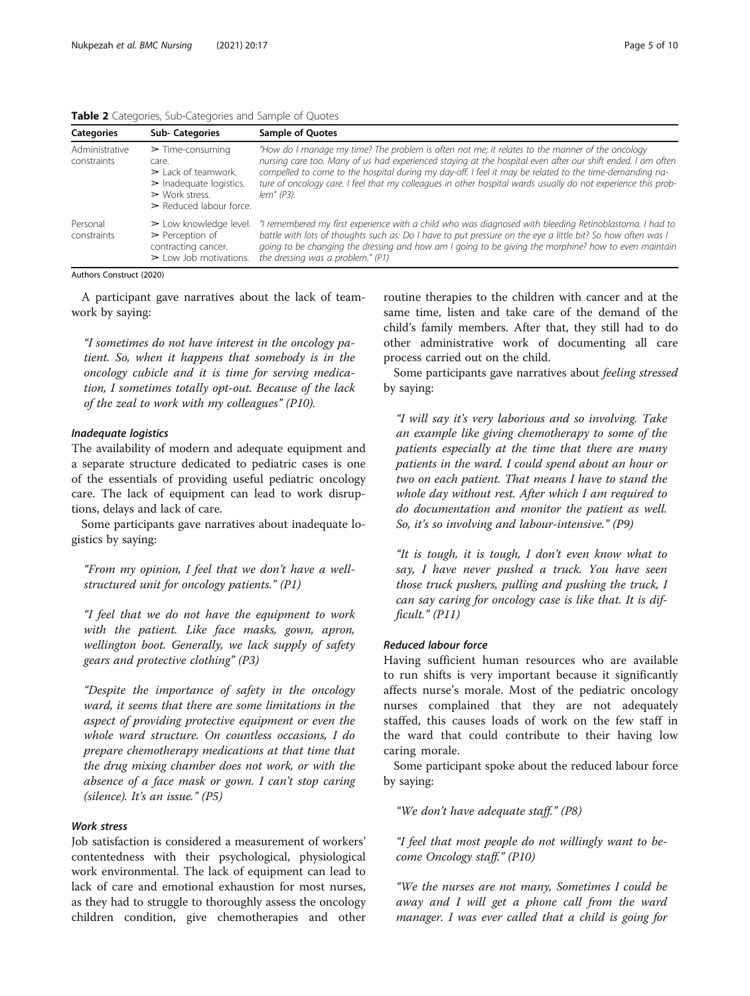<span id="page-4-0"></span>

| Table 2 Categories, Sub-Categories and Sample of Quotes |  |  |  |
|---------------------------------------------------------|--|--|--|
|---------------------------------------------------------|--|--|--|

| <b>Categories</b>             | <b>Sub-Categories</b>                                                                                                                                                                     | <b>Sample of Quotes</b>                                                                                                                                                                                                                                                                                                                                                                                                                                  |
|-------------------------------|-------------------------------------------------------------------------------------------------------------------------------------------------------------------------------------------|----------------------------------------------------------------------------------------------------------------------------------------------------------------------------------------------------------------------------------------------------------------------------------------------------------------------------------------------------------------------------------------------------------------------------------------------------------|
| Administrative<br>constraints | $\triangleright$ Time-consuming<br>care.<br>$\geq$ Lack of teamwork.<br>$\triangleright$ Inadequate logistics.<br>$\triangleright$ Work stress.<br>$\triangleright$ Reduced labour force. | "How do I manage my time? The problem is often not me; it relates to the manner of the oncology<br>nursing care too. Many of us had experienced staying at the hospital even after our shift ended. I am often<br>compelled to come to the hospital during my day-off. I feel it may be related to the time-demanding na-<br>ture of oncology care. I feel that my colleagues in other hospital wards usually do not experience this prob-<br>lem" (P3). |
| Personal<br>constraints       | $\geq$ Low knowledge level.<br>$\triangleright$ Perception of<br>contracting cancer.<br>$\triangleright$ Low Job motivations.                                                             | "I remembered my first experience with a child who was diagnosed with bleeding Retinoblastoma. I had to<br>battle with lots of thoughts such as: Do I have to put pressure on the eye a little bit? So how often was I<br>going to be changing the dressing and how am I going to be giving the morphine? how to even maintain<br>the dressing was a problem." (P1)                                                                                      |

Authors Construct (2020)

A participant gave narratives about the lack of teamwork by saying:

"I sometimes do not have interest in the oncology patient. So, when it happens that somebody is in the oncology cubicle and it is time for serving medication, I sometimes totally opt-out. Because of the lack of the zeal to work with my colleagues" (P10).

# Inadequate logistics

The availability of modern and adequate equipment and a separate structure dedicated to pediatric cases is one of the essentials of providing useful pediatric oncology care. The lack of equipment can lead to work disruptions, delays and lack of care.

Some participants gave narratives about inadequate logistics by saying:

"From my opinion, I feel that we don't have a wellstructured unit for oncology patients." (P1)

"I feel that we do not have the equipment to work with the patient. Like face masks, gown, apron, wellington boot. Generally, we lack supply of safety gears and protective clothing" (P3)

"Despite the importance of safety in the oncology ward, it seems that there are some limitations in the aspect of providing protective equipment or even the whole ward structure. On countless occasions, I do prepare chemotherapy medications at that time that the drug mixing chamber does not work, or with the absence of a face mask or gown. I can't stop caring (silence). It's an issue." (P5)

# Work stress

Job satisfaction is considered a measurement of workers' contentedness with their psychological, physiological work environmental. The lack of equipment can lead to lack of care and emotional exhaustion for most nurses, as they had to struggle to thoroughly assess the oncology children condition, give chemotherapies and other

routine therapies to the children with cancer and at the same time, listen and take care of the demand of the child's family members. After that, they still had to do other administrative work of documenting all care process carried out on the child.

Some participants gave narratives about feeling stressed by saying:

"I will say it's very laborious and so involving. Take an example like giving chemotherapy to some of the patients especially at the time that there are many patients in the ward. I could spend about an hour or two on each patient. That means I have to stand the whole day without rest. After which I am required to do documentation and monitor the patient as well. So, it's so involving and labour-intensive." (P9)

"It is tough, it is tough, I don't even know what to say, I have never pushed a truck. You have seen those truck pushers, pulling and pushing the truck, I can say caring for oncology case is like that. It is difficult." (P11)

# Reduced labour force

Having sufficient human resources who are available to run shifts is very important because it significantly affects nurse's morale. Most of the pediatric oncology nurses complained that they are not adequately staffed, this causes loads of work on the few staff in the ward that could contribute to their having low caring morale.

Some participant spoke about the reduced labour force by saying:

"We don't have adequate staff." (P8)

"I feel that most people do not willingly want to become Oncology staff." (P10)

"We the nurses are not many, Sometimes I could be away and I will get a phone call from the ward manager. I was ever called that a child is going for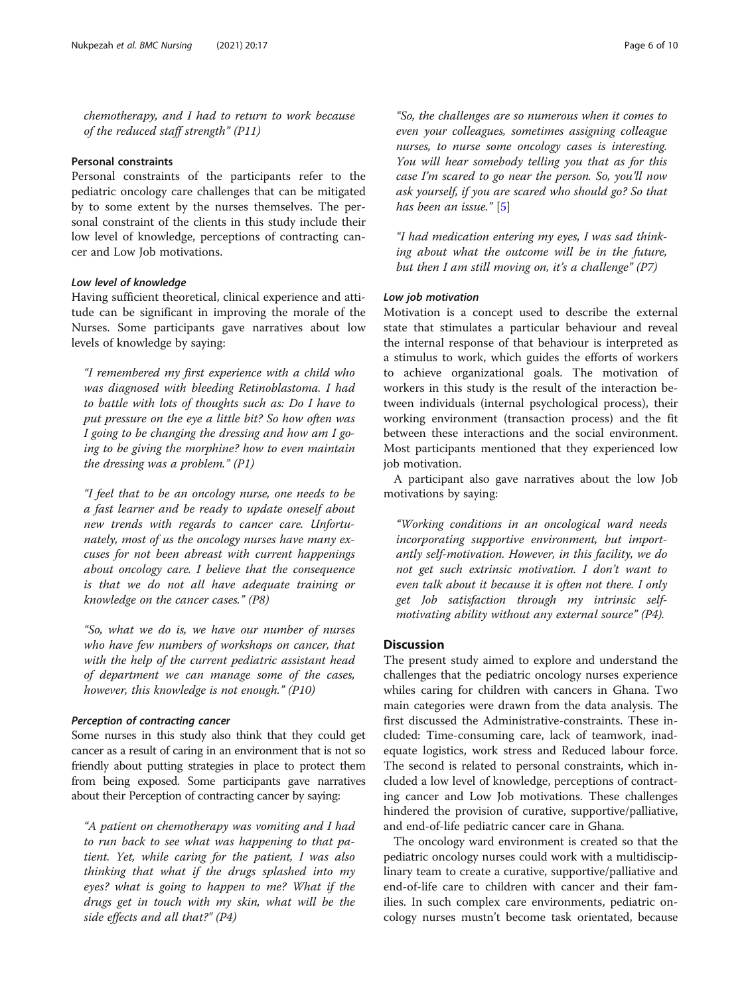chemotherapy, and I had to return to work because of the reduced staff strength" (P11)

# Personal constraints

Personal constraints of the participants refer to the pediatric oncology care challenges that can be mitigated by to some extent by the nurses themselves. The personal constraint of the clients in this study include their low level of knowledge, perceptions of contracting cancer and Low Job motivations.

# Low level of knowledge

Having sufficient theoretical, clinical experience and attitude can be significant in improving the morale of the Nurses. Some participants gave narratives about low levels of knowledge by saying:

"I remembered my first experience with a child who was diagnosed with bleeding Retinoblastoma. I had to battle with lots of thoughts such as: Do I have to put pressure on the eye a little bit? So how often was I going to be changing the dressing and how am I going to be giving the morphine? how to even maintain the dressing was a problem." (P1)

"I feel that to be an oncology nurse, one needs to be a fast learner and be ready to update oneself about new trends with regards to cancer care. Unfortunately, most of us the oncology nurses have many excuses for not been abreast with current happenings about oncology care. I believe that the consequence is that we do not all have adequate training or knowledge on the cancer cases." (P8)

"So, what we do is, we have our number of nurses who have few numbers of workshops on cancer, that with the help of the current pediatric assistant head of department we can manage some of the cases, however, this knowledge is not enough." (P10)

# Perception of contracting cancer

Some nurses in this study also think that they could get cancer as a result of caring in an environment that is not so friendly about putting strategies in place to protect them from being exposed. Some participants gave narratives about their Perception of contracting cancer by saying:

"A patient on chemotherapy was vomiting and I had to run back to see what was happening to that patient. Yet, while caring for the patient, I was also thinking that what if the drugs splashed into my eyes? what is going to happen to me? What if the drugs get in touch with my skin, what will be the side effects and all that?" (P4)

"So, the challenges are so numerous when it comes to even your colleagues, sometimes assigning colleague nurses, to nurse some oncology cases is interesting. You will hear somebody telling you that as for this case I'm scared to go near the person. So, you'll now ask yourself, if you are scared who should go? So that

"I had medication entering my eyes, I was sad thinking about what the outcome will be in the future, but then I am still moving on, it's a challenge"  $(P7)$ 

## Low job motivation

has been an issue." [\[5](#page-8-0)]

Motivation is a concept used to describe the external state that stimulates a particular behaviour and reveal the internal response of that behaviour is interpreted as a stimulus to work, which guides the efforts of workers to achieve organizational goals. The motivation of workers in this study is the result of the interaction between individuals (internal psychological process), their working environment (transaction process) and the fit between these interactions and the social environment. Most participants mentioned that they experienced low job motivation.

A participant also gave narratives about the low Job motivations by saying:

"Working conditions in an oncological ward needs incorporating supportive environment, but importantly self-motivation. However, in this facility, we do not get such extrinsic motivation. I don't want to even talk about it because it is often not there. I only get Job satisfaction through my intrinsic selfmotivating ability without any external source" (P4).

# **Discussion**

The present study aimed to explore and understand the challenges that the pediatric oncology nurses experience whiles caring for children with cancers in Ghana. Two main categories were drawn from the data analysis. The first discussed the Administrative-constraints. These included: Time-consuming care, lack of teamwork, inadequate logistics, work stress and Reduced labour force. The second is related to personal constraints, which included a low level of knowledge, perceptions of contracting cancer and Low Job motivations. These challenges hindered the provision of curative, supportive/palliative, and end-of-life pediatric cancer care in Ghana.

The oncology ward environment is created so that the pediatric oncology nurses could work with a multidisciplinary team to create a curative, supportive/palliative and end-of-life care to children with cancer and their families. In such complex care environments, pediatric oncology nurses mustn't become task orientated, because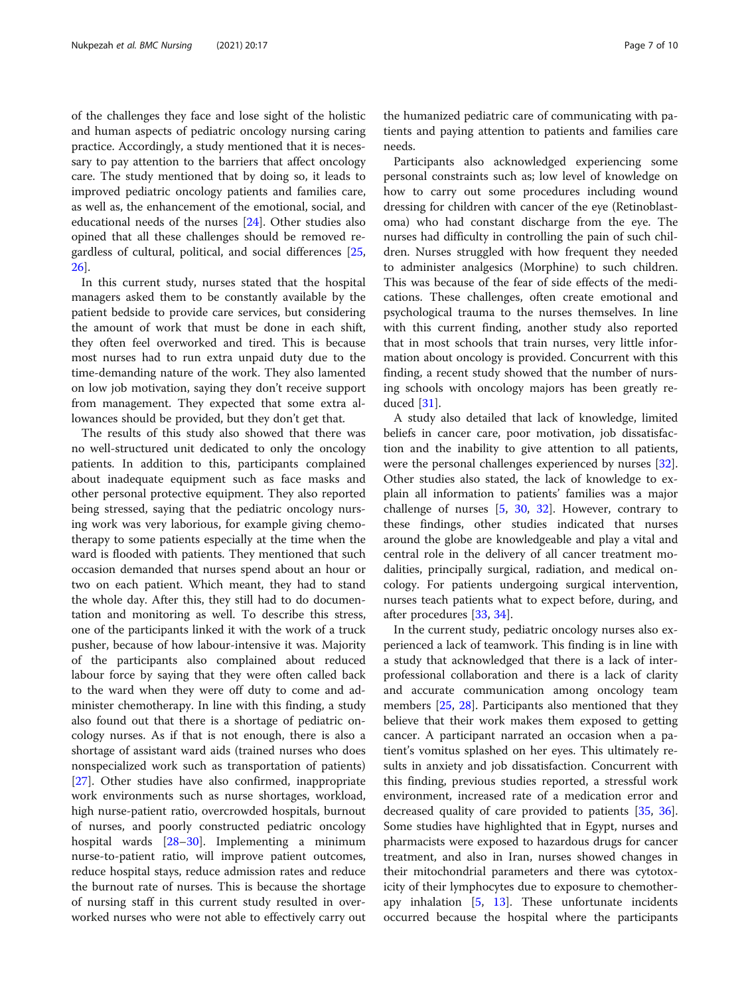of the challenges they face and lose sight of the holistic and human aspects of pediatric oncology nursing caring practice. Accordingly, a study mentioned that it is necessary to pay attention to the barriers that affect oncology care. The study mentioned that by doing so, it leads to improved pediatric oncology patients and families care, as well as, the enhancement of the emotional, social, and educational needs of the nurses [[24\]](#page-8-0). Other studies also opined that all these challenges should be removed regardless of cultural, political, and social differences [[25](#page-8-0), [26\]](#page-8-0).

In this current study, nurses stated that the hospital managers asked them to be constantly available by the patient bedside to provide care services, but considering the amount of work that must be done in each shift, they often feel overworked and tired. This is because most nurses had to run extra unpaid duty due to the time-demanding nature of the work. They also lamented on low job motivation, saying they don't receive support from management. They expected that some extra allowances should be provided, but they don't get that.

The results of this study also showed that there was no well-structured unit dedicated to only the oncology patients. In addition to this, participants complained about inadequate equipment such as face masks and other personal protective equipment. They also reported being stressed, saying that the pediatric oncology nursing work was very laborious, for example giving chemotherapy to some patients especially at the time when the ward is flooded with patients. They mentioned that such occasion demanded that nurses spend about an hour or two on each patient. Which meant, they had to stand the whole day. After this, they still had to do documentation and monitoring as well. To describe this stress, one of the participants linked it with the work of a truck pusher, because of how labour-intensive it was. Majority of the participants also complained about reduced labour force by saying that they were often called back to the ward when they were off duty to come and administer chemotherapy. In line with this finding, a study also found out that there is a shortage of pediatric oncology nurses. As if that is not enough, there is also a shortage of assistant ward aids (trained nurses who does nonspecialized work such as transportation of patients) [[27\]](#page-8-0). Other studies have also confirmed, inappropriate work environments such as nurse shortages, workload, high nurse-patient ratio, overcrowded hospitals, burnout of nurses, and poorly constructed pediatric oncology hospital wards [\[28](#page-8-0)–[30](#page-8-0)]. Implementing a minimum nurse-to-patient ratio, will improve patient outcomes, reduce hospital stays, reduce admission rates and reduce the burnout rate of nurses. This is because the shortage of nursing staff in this current study resulted in overworked nurses who were not able to effectively carry out

the humanized pediatric care of communicating with patients and paying attention to patients and families care needs.

Participants also acknowledged experiencing some personal constraints such as; low level of knowledge on how to carry out some procedures including wound dressing for children with cancer of the eye (Retinoblastoma) who had constant discharge from the eye. The nurses had difficulty in controlling the pain of such children. Nurses struggled with how frequent they needed to administer analgesics (Morphine) to such children. This was because of the fear of side effects of the medications. These challenges, often create emotional and psychological trauma to the nurses themselves. In line with this current finding, another study also reported that in most schools that train nurses, very little information about oncology is provided. Concurrent with this finding, a recent study showed that the number of nursing schools with oncology majors has been greatly reduced [\[31](#page-8-0)].

A study also detailed that lack of knowledge, limited beliefs in cancer care, poor motivation, job dissatisfaction and the inability to give attention to all patients, were the personal challenges experienced by nurses [\[32](#page-8-0)]. Other studies also stated, the lack of knowledge to explain all information to patients' families was a major challenge of nurses [\[5](#page-8-0), [30,](#page-8-0) [32](#page-8-0)]. However, contrary to these findings, other studies indicated that nurses around the globe are knowledgeable and play a vital and central role in the delivery of all cancer treatment modalities, principally surgical, radiation, and medical oncology. For patients undergoing surgical intervention, nurses teach patients what to expect before, during, and after procedures [\[33](#page-8-0), [34](#page-8-0)].

In the current study, pediatric oncology nurses also experienced a lack of teamwork. This finding is in line with a study that acknowledged that there is a lack of interprofessional collaboration and there is a lack of clarity and accurate communication among oncology team members [\[25,](#page-8-0) [28](#page-8-0)]. Participants also mentioned that they believe that their work makes them exposed to getting cancer. A participant narrated an occasion when a patient's vomitus splashed on her eyes. This ultimately results in anxiety and job dissatisfaction. Concurrent with this finding, previous studies reported, a stressful work environment, increased rate of a medication error and decreased quality of care provided to patients [\[35,](#page-8-0) [36](#page-9-0)]. Some studies have highlighted that in Egypt, nurses and pharmacists were exposed to hazardous drugs for cancer treatment, and also in Iran, nurses showed changes in their mitochondrial parameters and there was cytotoxicity of their lymphocytes due to exposure to chemotherapy inhalation  $[5, 13]$  $[5, 13]$  $[5, 13]$ . These unfortunate incidents occurred because the hospital where the participants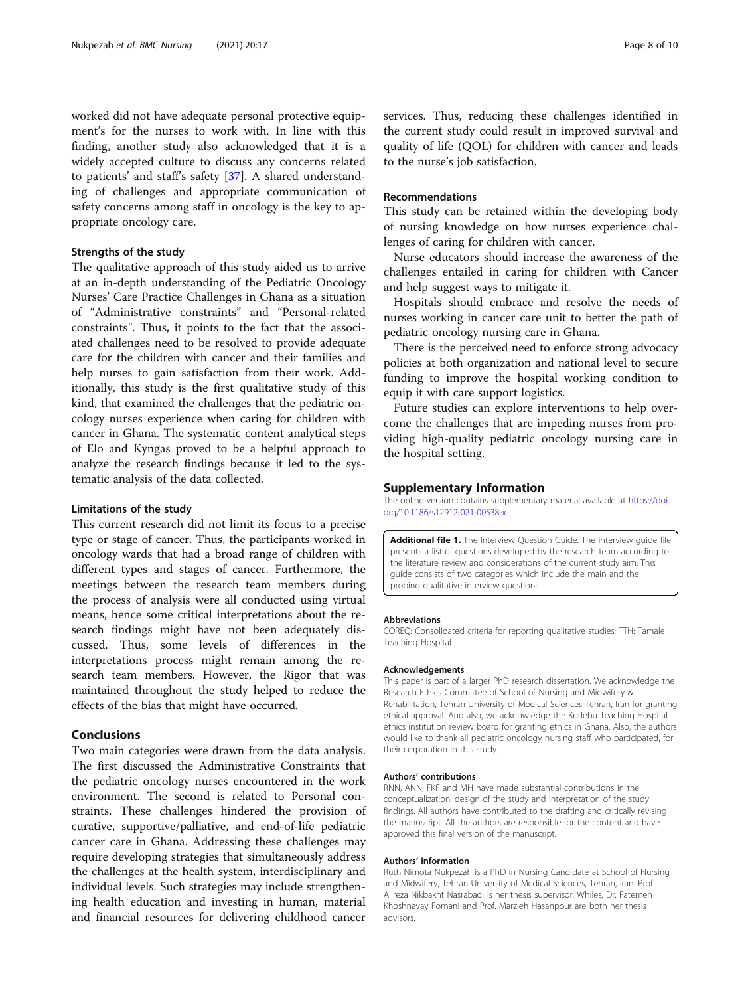<span id="page-7-0"></span>worked did not have adequate personal protective equipment's for the nurses to work with. In line with this finding, another study also acknowledged that it is a widely accepted culture to discuss any concerns related to patients' and staff's safety [\[37\]](#page-9-0). A shared understanding of challenges and appropriate communication of safety concerns among staff in oncology is the key to appropriate oncology care.

# Strengths of the study

The qualitative approach of this study aided us to arrive at an in-depth understanding of the Pediatric Oncology Nurses' Care Practice Challenges in Ghana as a situation of "Administrative constraints" and "Personal-related constraints". Thus, it points to the fact that the associated challenges need to be resolved to provide adequate care for the children with cancer and their families and help nurses to gain satisfaction from their work. Additionally, this study is the first qualitative study of this kind, that examined the challenges that the pediatric oncology nurses experience when caring for children with cancer in Ghana. The systematic content analytical steps of Elo and Kyngas proved to be a helpful approach to analyze the research findings because it led to the systematic analysis of the data collected.

# Limitations of the study

This current research did not limit its focus to a precise type or stage of cancer. Thus, the participants worked in oncology wards that had a broad range of children with different types and stages of cancer. Furthermore, the meetings between the research team members during the process of analysis were all conducted using virtual means, hence some critical interpretations about the research findings might have not been adequately discussed. Thus, some levels of differences in the interpretations process might remain among the research team members. However, the Rigor that was maintained throughout the study helped to reduce the effects of the bias that might have occurred.

# Conclusions

Two main categories were drawn from the data analysis. The first discussed the Administrative Constraints that the pediatric oncology nurses encountered in the work environment. The second is related to Personal constraints. These challenges hindered the provision of curative, supportive/palliative, and end-of-life pediatric cancer care in Ghana. Addressing these challenges may require developing strategies that simultaneously address the challenges at the health system, interdisciplinary and individual levels. Such strategies may include strengthening health education and investing in human, material and financial resources for delivering childhood cancer

services. Thus, reducing these challenges identified in the current study could result in improved survival and quality of life (QOL) for children with cancer and leads to the nurse's job satisfaction.

# Recommendations

This study can be retained within the developing body of nursing knowledge on how nurses experience challenges of caring for children with cancer.

Nurse educators should increase the awareness of the challenges entailed in caring for children with Cancer and help suggest ways to mitigate it.

Hospitals should embrace and resolve the needs of nurses working in cancer care unit to better the path of pediatric oncology nursing care in Ghana.

There is the perceived need to enforce strong advocacy policies at both organization and national level to secure funding to improve the hospital working condition to equip it with care support logistics.

Future studies can explore interventions to help overcome the challenges that are impeding nurses from providing high-quality pediatric oncology nursing care in the hospital setting.

# Supplementary Information

The online version contains supplementary material available at [https://doi.](https://doi.org/10.1186/s12912-021-00538-x) [org/10.1186/s12912-021-00538-x](https://doi.org/10.1186/s12912-021-00538-x).

Additional file 1. The Interview Question Guide. The interview guide file presents a list of questions developed by the research team according to the literature review and considerations of the current study aim. This guide consists of two categories which include the main and the probing qualitative interview questions.

#### Abbreviations

COREQ: Consolidated criteria for reporting qualitative studies; TTH: Tamale Teaching Hospital

#### Acknowledgements

This paper is part of a larger PhD research dissertation. We acknowledge the Research Ethics Committee of School of Nursing and Midwifery & Rehabilitation, Tehran University of Medical Sciences Tehran, Iran for granting ethical approval. And also, we acknowledge the Korlebu Teaching Hospital ethics institution review board for granting ethics in Ghana. Also, the authors would like to thank all pediatric oncology nursing staff who participated, for their corporation in this study.

#### Authors' contributions

RNN, ANN, FKF and MH have made substantial contributions in the conceptualization, design of the study and interpretation of the study findings. All authors have contributed to the drafting and critically revising the manuscript. All the authors are responsible for the content and have approved this final version of the manuscript.

#### Authors' information

Ruth Nimota Nukpezah is a PhD in Nursing Candidate at School of Nursing and Midwifery, Tehran University of Medical Sciences, Tehran, Iran. Prof. Alireza Nikbakht Nasrabadi is her thesis supervisor. Whiles, Dr. Fatemeh Khoshnavay Fomani and Prof. Marzieh Hasanpour are both her thesis advisors.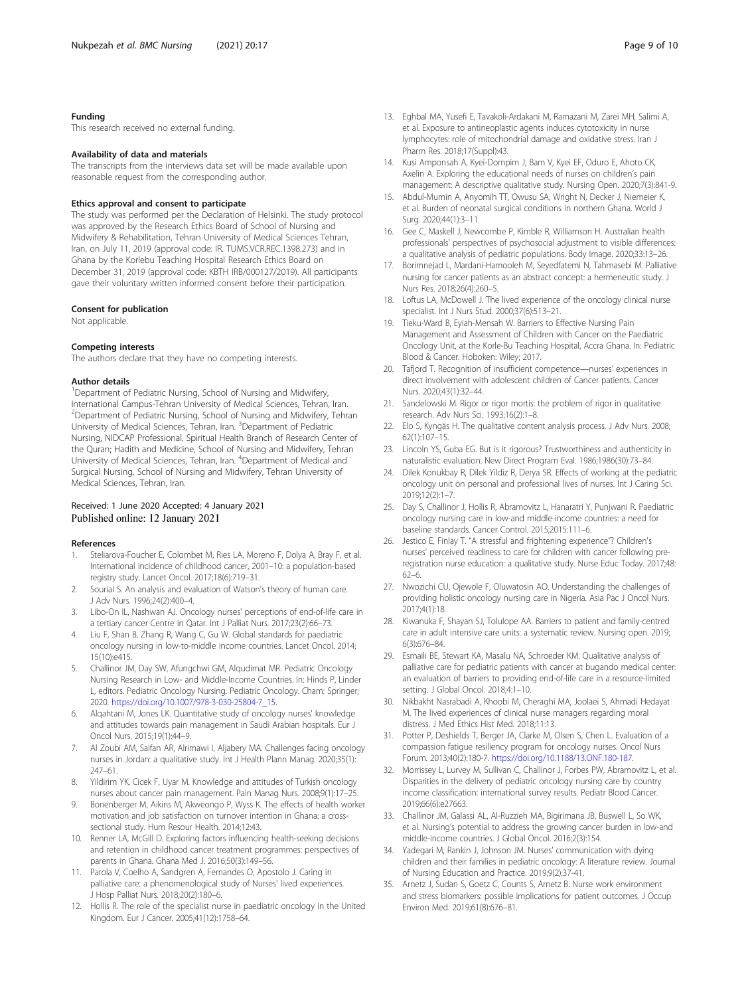# <span id="page-8-0"></span>Funding

This research received no external funding.

# Availability of data and materials

The transcripts from the interviews data set will be made available upon reasonable request from the corresponding author.

# Ethics approval and consent to participate

The study was performed per the Declaration of Helsinki. The study protocol was approved by the Research Ethics Board of School of Nursing and Midwifery & Rehabilitation, Tehran University of Medical Sciences Tehran, Iran, on July 11, 2019 (approval code: IR. TUMS.VCR.REC.1398.273) and in Ghana by the Korlebu Teaching Hospital Research Ethics Board on December 31, 2019 (approval code: KBTH IRB/000127/2019). All participants gave their voluntary written informed consent before their participation.

#### Consent for publication

Not applicable.

#### Competing interests

The authors declare that they have no competing interests.

#### Author details

<sup>1</sup>Department of Pediatric Nursing, School of Nursing and Midwifery, International Campus-Tehran University of Medical Sciences, Tehran, Iran. <sup>2</sup> Department of Pediatric Nursing, School of Nursing and Midwifery, Tehran University of Medical Sciences, Tehran, Iran. <sup>3</sup>Department of Pediatric Nursing, NIDCAP Professional, Spiritual Health Branch of Research Center of the Quran; Hadith and Medicine, School of Nursing and Midwifery, Tehran University of Medical Sciences, Tehran, Iran. <sup>4</sup>Department of Medical and Surgical Nursing, School of Nursing and Midwifery, Tehran University of Medical Sciences, Tehran, Iran.

# Received: 1 June 2020 Accepted: 4 January 2021 Published online: 12 January 2021

#### References

- 1. Steliarova-Foucher E, Colombet M, Ries LA, Moreno F, Dolya A, Bray F, et al. International incidence of childhood cancer, 2001–10: a population-based registry study. Lancet Oncol. 2017;18(6):719–31.
- 2. Sourial S. An analysis and evaluation of Watson's theory of human care. J Adv Nurs. 1996;24(2):400–4.
- 3. Libo-On IL, Nashwan AJ. Oncology nurses' perceptions of end-of-life care in a tertiary cancer Centre in Qatar. Int J Palliat Nurs. 2017;23(2):66–73.
- 4. Liu F, Shan B, Zhang R, Wang C, Gu W. Global standards for paediatric oncology nursing in low-to-middle income countries. Lancet Oncol. 2014; 15(10):e415.
- 5. Challinor JM, Day SW, Afungchwi GM, Alqudimat MR. Pediatric Oncology Nursing Research in Low- and Middle-Income Countries. In: Hinds P, Linder L, editors. Pediatric Oncology Nursing. Pediatric Oncology. Cham: Springer; 2020. [https://doi.org/10.1007/978-3-030-25804-7\\_15.](https://doi.org/10.1007/978-3-030-25804-7_15)
- 6. Alqahtani M, Jones LK. Quantitative study of oncology nurses' knowledge and attitudes towards pain management in Saudi Arabian hospitals. Eur J Oncol Nurs. 2015;19(1):44–9.
- 7. Al Zoubi AM, Saifan AR, Alrimawi I, Aljabery MA. Challenges facing oncology nurses in Jordan: a qualitative study. Int J Health Plann Manag. 2020;35(1): 247–61.
- 8. Yildirim YK, Cicek F, Uyar M. Knowledge and attitudes of Turkish oncology nurses about cancer pain management. Pain Manag Nurs. 2008;9(1):17–25.
- Bonenberger M, Aikins M, Akweongo P, Wyss K. The effects of health worker motivation and job satisfaction on turnover intention in Ghana: a crosssectional study. Hum Resour Health. 2014;12:43.
- 10. Renner LA, McGill D. Exploring factors influencing health-seeking decisions and retention in childhood cancer treatment programmes: perspectives of parents in Ghana. Ghana Med J. 2016;50(3):149–56.
- 11. Parola V, Coelho A, Sandgren A, Fernandes O, Apostolo J. Caring in palliative care: a phenomenological study of Nurses' lived experiences. J Hosp Palliat Nurs. 2018;20(2):180–6.
- 12. Hollis R. The role of the specialist nurse in paediatric oncology in the United Kingdom. Eur J Cancer. 2005;41(12):1758–64.
- 13. Eghbal MA, Yusefi E, Tavakoli-Ardakani M, Ramazani M, Zarei MH, Salimi A, et al. Exposure to antineoplastic agents induces cytotoxicity in nurse lymphocytes: role of mitochondrial damage and oxidative stress. Iran J Pharm Res. 2018;17(Suppl):43.
- 14. Kusi Amponsah A, Kyei-Dompim J, Bam V, Kyei EF, Oduro E, Ahoto CK, Axelin A. Exploring the educational needs of nurses on children's pain management: A descriptive qualitative study. Nursing Open. 2020;7(3):841-9.
- 15. Abdul-Mumin A, Anyomih TT, Owusu SA, Wright N, Decker J, Niemeier K, et al. Burden of neonatal surgical conditions in northern Ghana. World J Surg. 2020;44(1):3–11.
- 16. Gee C, Maskell J, Newcombe P, Kimble R, Williamson H. Australian health professionals' perspectives of psychosocial adjustment to visible differences: a qualitative analysis of pediatric populations. Body Image. 2020;33:13–26.
- 17. Borimnejad L, Mardani-Hamooleh M, Seyedfatemi N, Tahmasebi M. Palliative nursing for cancer patients as an abstract concept: a hermeneutic study. J Nurs Res. 2018;26(4):260–5.
- 18. Loftus LA, McDowell J. The lived experience of the oncology clinical nurse specialist. Int J Nurs Stud. 2000;37(6):513–21.
- 19. Tieku-Ward B, Eyiah-Mensah W. Barriers to Effective Nursing Pain Management and Assessment of Children with Cancer on the Paediatric Oncology Unit, at the Korle-Bu Teaching Hospital, Accra Ghana. In: Pediatric Blood & Cancer. Hoboken: Wiley; 2017.
- 20. Tafjord T. Recognition of insufficient competence—nurses' experiences in direct involvement with adolescent children of Cancer patients. Cancer Nurs. 2020;43(1):32–44.
- 21. Sandelowski M. Rigor or rigor mortis: the problem of rigor in qualitative research. Adv Nurs Sci. 1993;16(2):1–8.
- 22. Elo S, Kyngäs H. The qualitative content analysis process. J Adv Nurs. 2008; 62(1):107–15.
- 23. Lincoln YS, Guba EG. But is it rigorous? Trustworthiness and authenticity in naturalistic evaluation. New Direct Program Eval. 1986;1986(30):73–84.
- 24. Dilek Konukbay R, Dilek Yildiz R, Derya SR. Effects of working at the pediatric oncology unit on personal and professional lives of nurses. Int J Caring Sci. 2019;12(2):1–7.
- 25. Day S, Challinor J, Hollis R, Abramovitz L, Hanaratri Y, Punjwani R. Paediatric oncology nursing care in low-and middle-income countries: a need for baseline standards. Cancer Control. 2015;2015:111–6.
- 26. Jestico E, Finlay T. "A stressful and frightening experience"? Children's nurses' perceived readiness to care for children with cancer following preregistration nurse education: a qualitative study. Nurse Educ Today. 2017;48: 62–6.
- 27. Nwozichi CU, Ojewole F, Oluwatosin AO. Understanding the challenges of providing holistic oncology nursing care in Nigeria. Asia Pac J Oncol Nurs. 2017;4(1):18.
- 28. Kiwanuka F, Shayan SJ, Tolulope AA. Barriers to patient and family-centred care in adult intensive care units: a systematic review. Nursing open. 2019; 6(3):676–84.
- 29. Esmaili BE, Stewart KA, Masalu NA, Schroeder KM. Qualitative analysis of palliative care for pediatric patients with cancer at bugando medical center: an evaluation of barriers to providing end-of-life care in a resource-limited setting. J Global Oncol. 2018;4:1–10.
- 30. Nikbakht Nasrabadi A, Khoobi M, Cheraghi MA, Joolaei S, Ahmadi Hedayat M. The lived experiences of clinical nurse managers regarding moral distress. J Med Ethics Hist Med. 2018;11:13.
- 31. Potter P, Deshields T, Berger JA, Clarke M, Olsen S, Chen L. Evaluation of a compassion fatigue resiliency program for oncology nurses. Oncol Nurs Forum. 2013;40(2):180-7. <https://doi.org/10.1188/13.ONF.180-187>.
- 32. Morrissey L, Lurvey M, Sullivan C, Challinor J, Forbes PW, Abramovitz L, et al. Disparities in the delivery of pediatric oncology nursing care by country income classification: international survey results. Pediatr Blood Cancer. 2019;66(6):e27663.
- 33. Challinor JM, Galassi AL, Al-Ruzzieh MA, Bigirimana JB, Buswell L, So WK, et al. Nursing's potential to address the growing cancer burden in low-and middle-income countries. J Global Oncol. 2016;2(3):154.
- 34. Yadegari M, Rankin J, Johnson JM. Nurses' communication with dying children and their families in pediatric oncology: A literature review. Journal of Nursing Education and Practice. 2019;9(2):37-41.
- 35. Arnetz J, Sudan S, Goetz C, Counts S, Arnetz B. Nurse work environment and stress biomarkers: possible implications for patient outcomes. J Occup Environ Med. 2019;61(8):676–81.